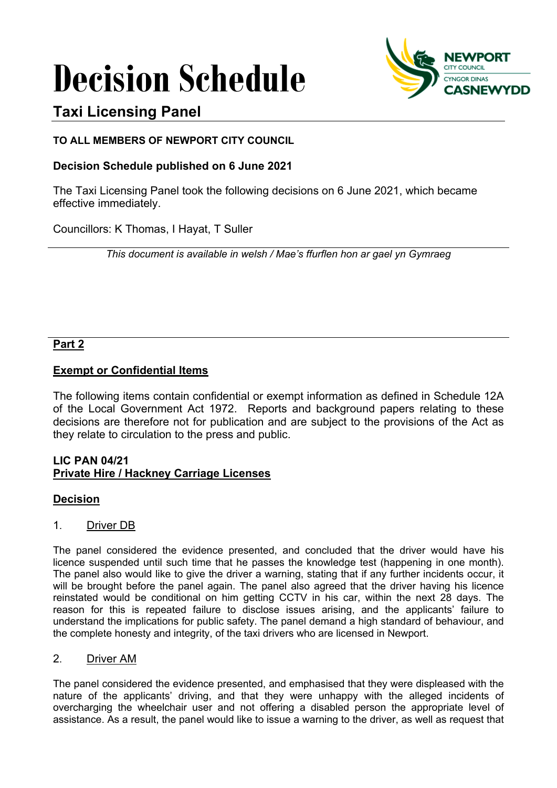# **Decision Schedule**



# **Taxi Licensing Panel**

## **TO ALL MEMBERS OF NEWPORT CITY COUNCIL**

# **Decision Schedule published on 6 June 2021**

The Taxi Licensing Panel took the following decisions on 6 June 2021, which became effective immediately.

Councillors: K Thomas, I Hayat, T Suller

*This document is available in welsh / Mae's ffurflen hon ar gael yn Gymraeg*

### **Part 2**

# **Exempt or Confidential Items**

The following items contain confidential or exempt information as defined in Schedule 12A of the Local Government Act 1972. Reports and background papers relating to these decisions are therefore not for publication and are subject to the provisions of the Act as they relate to circulation to the press and public.

### **LIC PAN 04/21 Private Hire / Hackney Carriage Licenses**

### **Decision**

#### 1. Driver DB

The panel considered the evidence presented, and concluded that the driver would have his licence suspended until such time that he passes the knowledge test (happening in one month). The panel also would like to give the driver a warning, stating that if any further incidents occur, it will be brought before the panel again. The panel also agreed that the driver having his licence reinstated would be conditional on him getting CCTV in his car, within the next 28 days. The reason for this is repeated failure to disclose issues arising, and the applicants' failure to understand the implications for public safety. The panel demand a high standard of behaviour, and the complete honesty and integrity, of the taxi drivers who are licensed in Newport.

#### 2. Driver AM

The panel considered the evidence presented, and emphasised that they were displeased with the nature of the applicants' driving, and that they were unhappy with the alleged incidents of overcharging the wheelchair user and not offering a disabled person the appropriate level of assistance. As a result, the panel would like to issue a warning to the driver, as well as request that